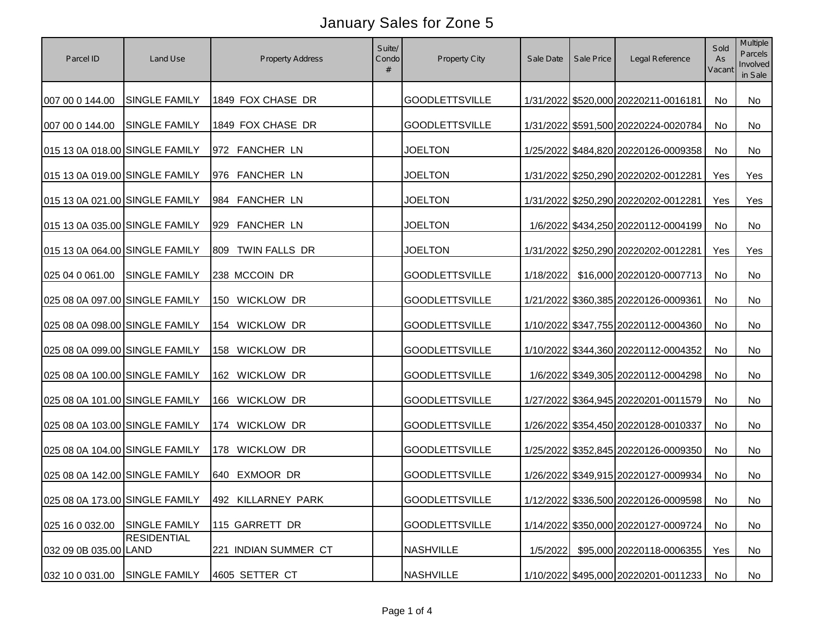| Parcel ID                      | Land Use                       | <b>Property Address</b> | Suite/<br>Condo<br># | Property City         | Sale Date | Sale Price | Legal Reference                      | Sold<br>As<br>Vacant | Multiple<br>Parcels<br>Involved<br>in Sale |
|--------------------------------|--------------------------------|-------------------------|----------------------|-----------------------|-----------|------------|--------------------------------------|----------------------|--------------------------------------------|
| 007 00 0 144.00                | SINGLE FAMILY                  | 1849 FOX CHASE DR       |                      | <b>GOODLETTSVILLE</b> |           |            | 1/31/2022 \$520,000 20220211-0016181 | No                   | No                                         |
| 007 00 0 144.00                | <b>SINGLE FAMILY</b>           | 1849 FOX CHASE DR       |                      | <b>GOODLETTSVILLE</b> |           |            | 1/31/2022 \$591,500 20220224-0020784 | <b>No</b>            | No                                         |
| 015 13 0A 018.00 SINGLE FAMILY |                                | 972 FANCHER LN          |                      | <b>JOELTON</b>        |           |            | 1/25/2022 \$484,820 20220126-0009358 | No                   | No                                         |
| 015 13 0A 019.00 SINGLE FAMILY |                                | 976 FANCHER LN          |                      | <b>JOELTON</b>        |           |            | 1/31/2022 \$250,290 20220202-0012281 | Yes                  | Yes                                        |
| 015 13 0A 021.00 SINGLE FAMILY |                                | 984 FANCHER LN          |                      | <b>JOELTON</b>        |           |            | 1/31/2022 \$250,290 20220202-0012281 | Yes                  | Yes                                        |
| 015 13 0A 035.00 SINGLE FAMILY |                                | 929 FANCHER LN          |                      | <b>JOELTON</b>        |           |            | 1/6/2022 \$434,250 20220112-0004199  | No                   | No                                         |
| 015 13 0A 064.00 SINGLE FAMILY |                                | 809 TWIN FALLS DR       |                      | <b>JOELTON</b>        |           |            | 1/31/2022 \$250,290 20220202-0012281 | Yes                  | Yes                                        |
| 025 04 0 061.00                | <b>SINGLE FAMILY</b>           | 238 MCCOIN DR           |                      | <b>GOODLETTSVILLE</b> | 1/18/2022 |            | \$16,000 20220120-0007713            | No                   | No                                         |
| 025 08 0A 097.00 SINGLE FAMILY |                                | 150 WICKLOW DR          |                      | <b>GOODLETTSVILLE</b> |           |            | 1/21/2022 \$360,385 20220126-0009361 | No                   | No                                         |
| 025 08 0A 098.00 SINGLE FAMILY |                                | 154 WICKLOW DR          |                      | <b>GOODLETTSVILLE</b> |           |            | 1/10/2022 \$347,755 20220112-0004360 | No                   | No                                         |
| 025 08 0A 099.00 SINGLE FAMILY |                                | 158 WICKLOW DR          |                      | <b>GOODLETTSVILLE</b> |           |            | 1/10/2022 \$344,360 20220112-0004352 | No                   | No                                         |
| 025 08 0A 100.00 SINGLE FAMILY |                                | 162 WICKLOW DR          |                      | <b>GOODLETTSVILLE</b> |           |            | 1/6/2022 \$349,305 20220112-0004298  | No                   | No                                         |
| 025 08 0A 101.00 SINGLE FAMILY |                                | 166 WICKLOW DR          |                      | <b>GOODLETTSVILLE</b> |           |            | 1/27/2022 \$364,945 20220201-0011579 | No                   | No                                         |
| 025 08 0A 103.00 SINGLE FAMILY |                                | 174 WICKLOW DR          |                      | <b>GOODLETTSVILLE</b> |           |            | 1/26/2022 \$354,450 20220128-0010337 | No                   | <b>No</b>                                  |
| 025 08 0A 104.00 SINGLE FAMILY |                                | 178 WICKLOW DR          |                      | <b>GOODLETTSVILLE</b> |           |            | 1/25/2022 \$352,845 20220126-0009350 | No                   | No                                         |
| 025 08 0A 142.00 SINGLE FAMILY |                                | 640 EXMOOR DR           |                      | <b>GOODLETTSVILLE</b> |           |            | 1/26/2022 \$349,915 20220127-0009934 | No                   | No                                         |
|                                | 025 08 0A 173.00 SINGLE FAMILY | 492 KILLARNEY PARK      |                      | <b>GOODLETTSVILLE</b> |           |            | 1/12/2022 \$336,500 20220126-0009598 | No                   | No                                         |
| 025 16 0 032.00                | <b>SINGLE FAMILY</b>           | 115 GARRETT DR          |                      | <b>GOODLETTSVILLE</b> |           |            | 1/14/2022 \$350,000 20220127-0009724 | No                   | No                                         |
| 032 09 0B 035.00 LAND          | <b>RESIDENTIAL</b>             | 221 INDIAN SUMMER CT    |                      | <b>NASHVILLE</b>      | 1/5/2022  |            | \$95,000 20220118-0006355            | Yes                  | No                                         |
| 032 10 0 031.00                | <b>SINGLE FAMILY</b>           | 4605 SETTER CT          |                      | <b>NASHVILLE</b>      |           |            | 1/10/2022 \$495,000 20220201-0011233 | No                   | No                                         |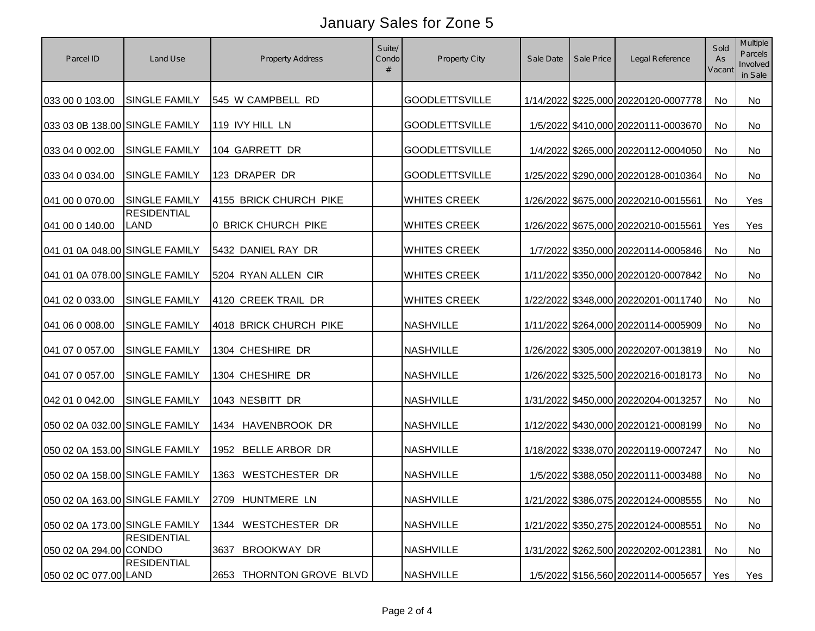| Parcel ID                      | Land Use                          | <b>Property Address</b>     | Suite/<br>Condo | Property City         | Sale Date | Sale Price | Legal Reference                      | Sold<br>As<br>Vacant | Multiple<br>Parcels<br>Involved<br>in Sale |
|--------------------------------|-----------------------------------|-----------------------------|-----------------|-----------------------|-----------|------------|--------------------------------------|----------------------|--------------------------------------------|
| 033 00 0 103.00                | SINGLE FAMILY                     | 545 W CAMPBELL RD           |                 | <b>GOODLETTSVILLE</b> |           |            | 1/14/2022 \$225,000 20220120-0007778 | No                   | No                                         |
| 033 03 0B 138.00 SINGLE FAMILY |                                   | 119 IVY HILL LN             |                 | <b>GOODLETTSVILLE</b> |           |            | 1/5/2022 \$410,000 20220111-0003670  | <b>No</b>            | No                                         |
| 033 04 0 002.00                | <b>SINGLE FAMILY</b>              | 104 GARRETT DR              |                 | <b>GOODLETTSVILLE</b> |           |            | 1/4/2022 \$265,000 20220112-0004050  | No                   | No                                         |
| 033 04 0 034.00                | SINGLE FAMILY                     | 123 DRAPER DR               |                 | <b>GOODLETTSVILLE</b> |           |            | 1/25/2022 \$290,000 20220128-0010364 | No                   | No                                         |
| 041 00 0 070.00                | <b>SINGLE FAMILY</b>              | 4155 BRICK CHURCH PIKE      |                 | <b>WHITES CREEK</b>   |           |            | 1/26/2022 \$675,000 20220210-0015561 | <b>No</b>            | Yes                                        |
| 041 00 0 140.00                | <b>RESIDENTIAL</b><br><b>LAND</b> | 0 BRICK CHURCH PIKE         |                 | <b>WHITES CREEK</b>   |           |            | 1/26/2022 \$675,000 20220210-0015561 | Yes                  | Yes                                        |
| 041 01 0A 048.00 SINGLE FAMILY |                                   | 5432 DANIEL RAY DR          |                 | <b>WHITES CREEK</b>   |           |            | 1/7/2022 \$350,000 20220114-0005846  | No                   | No                                         |
| 041 01 0A 078.00 SINGLE FAMILY |                                   | 5204 RYAN ALLEN CIR         |                 | <b>WHITES CREEK</b>   |           |            | 1/11/2022 \$350,000 20220120-0007842 | No                   | No                                         |
| 041 02 0 033.00                | <b>SINGLE FAMILY</b>              | 4120 CREEK TRAIL DR         |                 | <b>WHITES CREEK</b>   |           |            | 1/22/2022 \$348,000 20220201-0011740 | No                   | No                                         |
| 041 06 0 008.00                | <b>SINGLE FAMILY</b>              | 4018 BRICK CHURCH PIKE      |                 | <b>NASHVILLE</b>      |           |            | 1/11/2022 \$264,000 20220114-0005909 | No                   | No                                         |
| 041 07 0 057.00                | SINGLE FAMILY                     | 1304 CHESHIRE DR            |                 | <b>NASHVILLE</b>      |           |            | 1/26/2022 \$305,000 20220207-0013819 | No                   | No                                         |
| 041 07 0 057.00                | SINGLE FAMILY                     | 1304 CHESHIRE DR            |                 | <b>NASHVILLE</b>      |           |            | 1/26/2022 \$325,500 20220216-0018173 | No                   | No                                         |
| 042 01 0 042.00                | <b>SINGLE FAMILY</b>              | 1043 NESBITT DR             |                 | <b>NASHVILLE</b>      |           |            | 1/31/2022 \$450,000 20220204-0013257 | No                   | No                                         |
| 050 02 0A 032.00 SINGLE FAMILY |                                   | 1434 HAVENBROOK DR          |                 | <b>NASHVILLE</b>      |           |            | 1/12/2022 \$430,000 20220121-0008199 | No                   | No                                         |
| 050 02 0A 153.00 SINGLE FAMILY |                                   | 1952 BELLE ARBOR DR         |                 | <b>NASHVILLE</b>      |           |            |                                      | No                   | No                                         |
|                                |                                   |                             |                 |                       |           |            | 1/18/2022 \$338,070 20220119-0007247 |                      |                                            |
| 050 02 0A 158.00 SINGLE FAMILY |                                   | 1363 WESTCHESTER DR         |                 | <b>NASHVILLE</b>      |           |            | 1/5/2022 \$388,050 20220111-0003488  | No                   | No                                         |
|                                | 050 02 0A 163.00 SINGLE FAMILY    | 2709 HUNTMERE LN            |                 | <b>NASHVILLE</b>      |           |            | 1/21/2022 \$386,075 20220124-0008555 | No                   | No                                         |
| 050 02 0A 173.00 SINGLE FAMILY | <b>RESIDENTIAL</b>                | 1344 WESTCHESTER DR         |                 | <b>NASHVILLE</b>      |           |            | 1/21/2022 \$350,275 20220124-0008551 | No                   | No                                         |
| 050 02 0A 294.00 CONDO         | <b>RESIDENTIAL</b>                | 3637<br>BROOKWAY DR         |                 | <b>NASHVILLE</b>      |           |            | 1/31/2022 \$262,500 20220202-0012381 | No                   | No                                         |
| 050 02 0C 077.00 LAND          |                                   | THORNTON GROVE BLVD<br>2653 |                 | <b>NASHVILLE</b>      |           |            | 1/5/2022 \$156,560 20220114-0005657  | Yes                  | Yes                                        |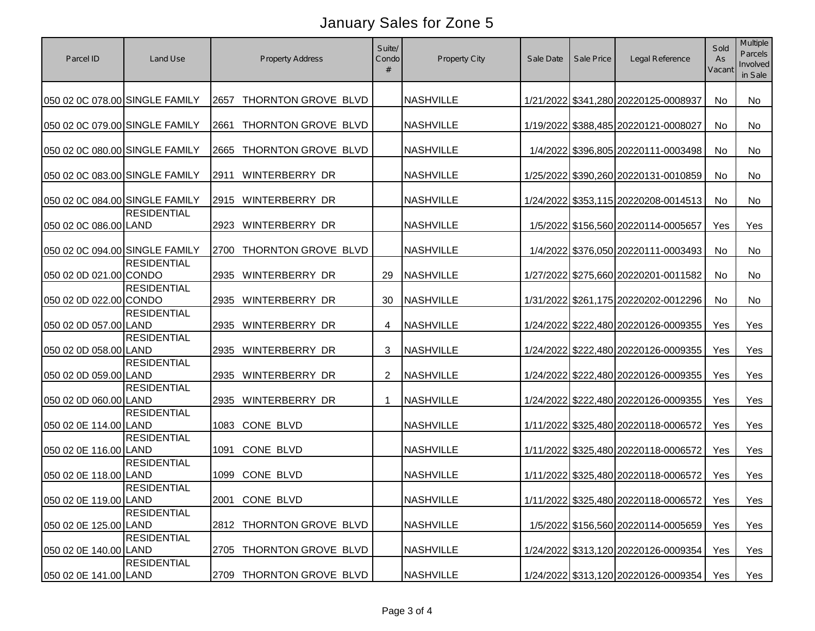| Parcel ID                      | Land Use           | <b>Property Address</b>       | Suite/<br>Condo | <b>Property City</b> | Sale Date | Sale Price | Legal Reference                      | Sold<br>As<br>Vacant | Multiple<br>Parcels<br>Involved<br>in Sale |
|--------------------------------|--------------------|-------------------------------|-----------------|----------------------|-----------|------------|--------------------------------------|----------------------|--------------------------------------------|
| 050 02 0C 078.00 SINGLE FAMILY |                    | THORNTON GROVE BLVD<br>2657   |                 | <b>NASHVILLE</b>     |           |            | 1/21/2022 \$341,280 20220125-0008937 | No                   | <b>No</b>                                  |
| 050 02 0C 079.00 SINGLE FAMILY |                    | THORNTON GROVE BLVD<br>2661   |                 | <b>NASHVILLE</b>     |           |            | 1/19/2022 \$388,485 20220121-0008027 | <b>No</b>            | <b>No</b>                                  |
| 050 02 0C 080.00 SINGLE FAMILY |                    | THORNTON GROVE BLVD<br>2665   |                 | <b>NASHVILLE</b>     |           |            | 1/4/2022 \$396,805 20220111-0003498  | No                   | No                                         |
| 050 02 0C 083.00 SINGLE FAMILY |                    | <b>WINTERBERRY DR</b><br>2911 |                 | <b>NASHVILLE</b>     |           |            | 1/25/2022 \$390,260 20220131-0010859 | No                   | No                                         |
| 050 02 0C 084.00 SINGLE FAMILY |                    | <b>WINTERBERRY DR</b><br>2915 |                 | <b>NASHVILLE</b>     |           |            | 1/24/2022 \$353,115 20220208-0014513 | No                   | No                                         |
| 050 02 0C 086.00 LAND          | <b>RESIDENTIAL</b> | WINTERBERRY DR<br>2923        |                 | <b>NASHVILLE</b>     |           |            | 1/5/2022 \$156,560 20220114-0005657  | Yes                  | Yes                                        |
| 050 02 0C 094.00 SINGLE FAMILY |                    | THORNTON GROVE BLVD<br>2700   |                 | <b>NASHVILLE</b>     |           |            | 1/4/2022 \$376,050 20220111-0003493  | No                   | No                                         |
| 050 02 0D 021.00 CONDO         | <b>RESIDENTIAL</b> | <b>WINTERBERRY DR</b><br>2935 | 29              | <b>NASHVILLE</b>     |           |            | 1/27/2022 \$275,660 20220201-0011582 | No                   | No                                         |
| 050 02 0D 022.00 CONDO         | <b>RESIDENTIAL</b> | 2935<br>WINTERBERRY DR        | 30              | <b>NASHVILLE</b>     |           |            | 1/31/2022 \$261,175 20220202-0012296 | No                   | No                                         |
| 050 02 0D 057.00 LAND          | <b>RESIDENTIAL</b> | WINTERBERRY DR<br>2935        | 4               | <b>NASHVILLE</b>     |           |            | 1/24/2022 \$222,480 20220126-0009355 | Yes                  | Yes                                        |
| 050 02 0D 058.00 LAND          | <b>RESIDENTIAL</b> | <b>WINTERBERRY DR</b><br>2935 | 3               | <b>NASHVILLE</b>     |           |            | 1/24/2022 \$222,480 20220126-0009355 | Yes                  | Yes                                        |
| 050 02 0D 059.00 LAND          | <b>RESIDENTIAL</b> | <b>WINTERBERRY DR</b><br>2935 | 2               | <b>NASHVILLE</b>     |           |            | 1/24/2022 \$222,480 20220126-0009355 | Yes                  | Yes                                        |
| 050 02 0D 060.00 LAND          | <b>RESIDENTIAL</b> | WINTERBERRY DR<br>2935        | $\mathbf 1$     | <b>NASHVILLE</b>     |           |            | 1/24/2022 \$222,480 20220126-0009355 | Yes                  | Yes                                        |
| 050 02 0E 114.00 LAND          | <b>RESIDENTIAL</b> | CONE BLVD<br>1083             |                 | <b>NASHVILLE</b>     |           |            | 1/11/2022 \$325,480 20220118-0006572 | Yes                  | Yes                                        |
| 050 02 0E 116.00 LAND          | <b>RESIDENTIAL</b> | CONE BLVD<br>1091             |                 | <b>NASHVILLE</b>     |           |            | 1/11/2022 \$325,480 20220118-0006572 | Yes                  | Yes                                        |
| 050 02 0E 118.00 LAND          | <b>RESIDENTIAL</b> | CONE BLVD<br>1099             |                 | <b>NASHVILLE</b>     |           |            | 1/11/2022 \$325,480 20220118-0006572 | Yes                  | Yes                                        |
| 050 02 0E 119.00 LAND          | <b>RESIDENTIAL</b> | 2001 CONE BLVD                |                 | <b>NASHVILLE</b>     |           |            | 1/11/2022 \$325,480 20220118-0006572 | Yes                  | Yes                                        |
| 050 02 0E 125.00 LAND          | <b>RESIDENTIAL</b> | 2812 THORNTON GROVE BLVD      |                 | <b>NASHVILLE</b>     |           |            | 1/5/2022 \$156,560 20220114-0005659  | Yes                  | Yes                                        |
| 050 02 0E 140.00 LAND          | <b>RESIDENTIAL</b> | THORNTON GROVE BLVD<br>2705   |                 | <b>NASHVILLE</b>     |           |            | 1/24/2022 \$313,120 20220126-0009354 | Yes                  | Yes                                        |
| 050 02 0E 141.00 LAND          | <b>RESIDENTIAL</b> | THORNTON GROVE BLVD<br>2709   |                 | <b>NASHVILLE</b>     |           |            | 1/24/2022 \$313,120 20220126-0009354 | Yes                  | Yes                                        |